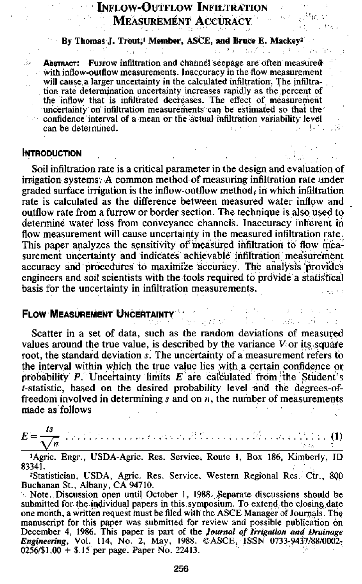## INFLOW-OUTFLOW INFILTRATION MEASUREMENT ACCURACY

**By Thomas J. Trout, Member, ASCE, and Bruce E. Mackey<sup>2</sup>** 

Abstract: •Furrow infiltration and channel seepage are often measured with inflow-outflow measurement. Inaccuracy in the flow measurement will cause a larger uncertainty in the calculated infiltration. The infiltration rate determination uncertainty increases rapidly as the percent of the inflow that is infiltrated decreases. The effect of measurement uncertainty on infiltration measurements can be estimated so that the' confidence interval of a mean or the actual infiltration variability level<br>can be determined. can be determined. **Contract** 

## **INTRODUCTION**

Soil infiltration rate is a critical parameter in the design and evaluation of irrigation systems.-A common method of measuring infiltration rate under graded surface irrigation is the inflow-outflow method, in which infiltration rate is calculated as the difference between measured water inflow and outflow rate from a furrow or border section. The technique is also used to determine water loss from conveyance channels. Inaccuracy inherent in flow measurement will cause uncertainty in the measured infiltration rate. This paper analyzes the sensitivity of measured infiltration to flow measurement uncertainty and indicates achievable infiltration measurement accuracy and procedures to maximize accuracy. The analysis provides engineers and soil scientists with the tools required to prdVide a statistical basis for the uncertainty in infiltration measurements.

## **FLOW MEASUREMENT UNCERTAINTY**

Scatter in a set of data, such as the random deviations of measured values around the true value, is described by the variance  $V$  or its square root, the standard deviation s. The uncertainty of a measurement refers to the interval within which the true value lies with a certain confidence or probability  $P$ . Uncertainty limits  $E$  are calculated from the Student's t-statistic, based on the desired probability level and the degrees-offreedom involved in determining  $s$  and on  $n$ , the number of measurements made as follows

そうかい しっぽうかいかい

 $E=\frac{ts}{\sqrt{n}}$ *ts* 

'Agric. Engr., USDA-Agric. Res. Service. Route 1, Box 186, Kimberly, ID 83341.

<sup>2</sup>Statistician, USDA, Agric. Res. Service, Western Regional Res. Ctr., 800 Buchanan St., Albany, CA 94710.

Note. Discussion open until October 1, 1988: Separate discussions should be submitted for the individual papers in this symposium. To extend the closing date one month, a written request must be filed with the ASCE Manager of Journals. The manuscript for this paper was submitted for review and possible publication on December 4, 1986. This paper is part of the *Journal of Irrigation and Drainage Engineering, Vol. 114, No. 2, May, 1988. ©ASCE, ISSN 0733-9437/88/0002.* 025631.00 + \$.15 per page. Paper No. 22413.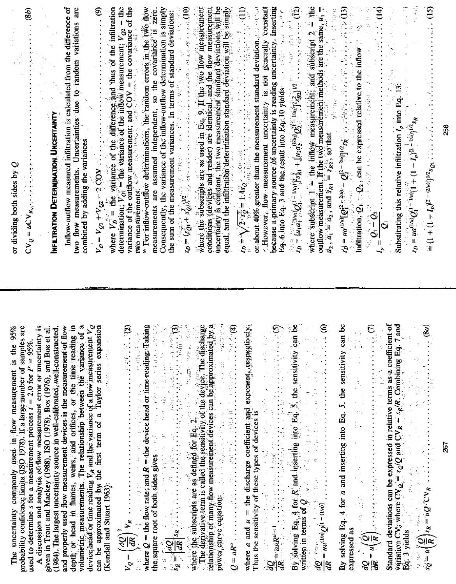|                                                                                                                                                                                                                                                                                  | or dividing both sides by $Q$                                                                                                                                                                                                                                                                                                                                                                                                                                    |
|----------------------------------------------------------------------------------------------------------------------------------------------------------------------------------------------------------------------------------------------------------------------------------|------------------------------------------------------------------------------------------------------------------------------------------------------------------------------------------------------------------------------------------------------------------------------------------------------------------------------------------------------------------------------------------------------------------------------------------------------------------|
| The uncertainty commonly used in flow measurement is the $95\%$ probability confidence limits $(150 \text{ J} \cdot 78)$ . If a large number of samples are                                                                                                                      |                                                                                                                                                                                                                                                                                                                                                                                                                                                                  |
| used to determine s for a measurement process $t = 2.0$ for $P = 95\%$ .                                                                                                                                                                                                         |                                                                                                                                                                                                                                                                                                                                                                                                                                                                  |
| A discussion and analysis of flow measurement error or uncertainty is                                                                                                                                                                                                            |                                                                                                                                                                                                                                                                                                                                                                                                                                                                  |
| (1984). The largest uncertainty source in well-calibrated, well-constructed,<br>given in Trout and Mackey (1988), ISO (1978), Bos (1976), and Bos et al.                                                                                                                         | Infiltration Determination Uncertainty<br>Inflow-nutflow ---                                                                                                                                                                                                                                                                                                                                                                                                     |
| and properly used flow measurement devices is the measurement of flow                                                                                                                                                                                                            | Inflow-outflow measured infiltration is calculated from the difference of                                                                                                                                                                                                                                                                                                                                                                                        |
| depti or head in flumes, weirs, and orifices, or the time reading in volumetric measurements. The relationship between the variance of a                                                                                                                                         | two flow measurements. Uncertainties due to random variations are<br>$\frac{\sum_{i=1}^{n} \alpha_i}{\sum_{i=1}^{n} \alpha_i}$<br>combined by adding the variances                                                                                                                                                                                                                                                                                               |
| device head or time reading $V_R$ and the variance of a flow measurement $V_Q$ can be approximated by the first term of a Taylor series expansion                                                                                                                                | $V_D = V_{Q1} + V_{Q2} = 2 \text{ COM}$ . $V_{\text{max}}$ , $V_{\text{max}}$ , $V_{\text{max}}$ , $V_{\text{max}}$ , $V_{\text{max}}$ , $V_{\text{max}}$ , $V_{\text{max}}$ , $V_{\text{max}}$ , $V_{\text{max}}$ , $V_{\text{max}}$ , $V_{\text{max}}$ , $V_{\text{max}}$ , $V_{\text{max}}$ , $V_{\text{max}}$ , $V_{\text{max}}$ , $V_{\text{max}}$ ,                                                                                                        |
| (Kendall and Stuart 1963):                                                                                                                                                                                                                                                       | where $V_D^{(k)} =$ the variance of the difference and thus of the infiltration determination; $V_{Q1} =$ the variance of the inflow measurement; $V_{Q2} =$ the                                                                                                                                                                                                                                                                                                 |
|                                                                                                                                                                                                                                                                                  | variance of the outflow measurement; and COV = the covariance of the two measurements.                                                                                                                                                                                                                                                                                                                                                                           |
|                                                                                                                                                                                                                                                                                  | <sup>16</sup> For inflow-outflow determinations, the random errors in the two flow measurements are assumed independent, so the covariance is zero.                                                                                                                                                                                                                                                                                                              |
|                                                                                                                                                                                                                                                                                  | Consequently, the variance of the inflow-outflow determination is simply                                                                                                                                                                                                                                                                                                                                                                                         |
| $\frac{\partial}{\partial x}$ $\begin{pmatrix} dx \\ y \end{pmatrix}$ . The flow rate; and $R$ = the device head or time reading $\hat{q}$ adding the square root of both sides gives $\phi$ . The contribution of the square root of both sides gives $\phi$ is $\phi$ , $\phi$ | the sum of the measurement variances. In terms of standard deviations:<br>$\frac{1}{2} \int \frac{1}{2} \int \frac{1}{2} \int \frac{1}{2} \int \frac{1}{2} \int \frac{1}{2} \int \frac{1}{2} \int \frac{1}{2} \int \frac{1}{2} \int \frac{1}{2} \int \frac{1}{2} \int \frac{1}{2} \int \frac{1}{2} \int \frac{1}{2} \int \frac{1}{2} \int \frac{1}{2} \int \frac{1}{$                                                                                            |
|                                                                                                                                                                                                                                                                                  |                                                                                                                                                                                                                                                                                                                                                                                                                                                                  |
|                                                                                                                                                                                                                                                                                  |                                                                                                                                                                                                                                                                                                                                                                                                                                                                  |
|                                                                                                                                                                                                                                                                                  |                                                                                                                                                                                                                                                                                                                                                                                                                                                                  |
|                                                                                                                                                                                                                                                                                  |                                                                                                                                                                                                                                                                                                                                                                                                                                                                  |
|                                                                                                                                                                                                                                                                                  |                                                                                                                                                                                                                                                                                                                                                                                                                                                                  |
|                                                                                                                                                                                                                                                                                  | where the subscripts are as used in Eq. 9. If the two flow measurement<br>conditions (devices and reader) are identical, and the flow measurement<br>incertainty is constant, the two measurement standard deviations will be<br>equal                                                                                                                                                                                                                           |
|                                                                                                                                                                                                                                                                                  | : However, flow measurement uncertainty is not generally constant<br>because a primary source of uncertainty is reading uncertainty. Inserting                                                                                                                                                                                                                                                                                                                   |
|                                                                                                                                                                                                                                                                                  | Eq. 6 into Eq. 3 and the result into Eq. 10 yields $\frac{1}{2}$ . $\frac{1}{2}$ $\frac{1}{2}$ $\frac{1}{2}$ $\frac{1}{2}$ $\frac{1}{2}$                                                                                                                                                                                                                                                                                                                         |
|                                                                                                                                                                                                                                                                                  | $\mathcal{L}(\mathcal{D}) = \{ \mathcal{U} \in \mathcal{D}^{(n)} \mid \mathcal{D}^{(n)} \in \mathcal{D}^{(n)} \text{ and } \mathcal{D}^{(n)} \text{ and } \mathcal{D}^{(n)} \text{ and } \mathcal{D}^{(n)} \text{ and } \mathcal{D}^{(n)} \text{ and } \mathcal{D}^{(n)} \text{ and } \mathcal{D}^{(n)} \text{ and } \mathcal{D}^{(n)} \text{ and } \mathcal{D}^{(n)} \text{ and } \mathcal{D}^{(n)} \text{ and } \mathcal{D}^{(n)} \text{ and } \mathcal{D}^{($ |
| where the subscripts are as defined for Eq. 2. $\frac{1}{(1, 1, 2, 3)}$ where the subscripts are as defined for Eq. 2. $\frac{1}{(1, 3, 3)}$ where the subscripts are as defined the sensitivity of the device. The discussing proposit                                          | where subscript 1 = 1 ife inflow measurement; and subscript 2 = ifie outflow measurement; if the two measurement inethods are the same, $\mu_1 = \mu_2$ , $\mathcal{U}_1 = \mu_3$ , and $\mathcal{V}_n = \mathcal{V}_n$ ; so that $\mathcal{V}_1 = \frac{1}{2}$ . $\mathcal{V$                                                                                                                                                                                   |
|                                                                                                                                                                                                                                                                                  |                                                                                                                                                                                                                                                                                                                                                                                                                                                                  |
| dR<br>By solving Eq. 4 for a and inserting into Eq. 5, the sensitivity can be<br>expressed as<br>$\frac{dQ}{dR} = u(\frac{\hat{Q}}{R})$ . A for a sensitivity can be expressed as                                                                                                |                                                                                                                                                                                                                                                                                                                                                                                                                                                                  |
|                                                                                                                                                                                                                                                                                  |                                                                                                                                                                                                                                                                                                                                                                                                                                                                  |
|                                                                                                                                                                                                                                                                                  | Substituting this relative infiltration $I_p$ into Eq. 13.<br>$s_p = \mu a^{1/\omega}Q_1^{(\alpha-1/\omega)}[1 + (1 - I_p)^{\alpha - 2/\omega}b^{\alpha} s_R$<br>$\approx 1 + (1 - I)^{\alpha - 2/\omega}$                                                                                                                                                                                                                                                       |
|                                                                                                                                                                                                                                                                                  |                                                                                                                                                                                                                                                                                                                                                                                                                                                                  |
|                                                                                                                                                                                                                                                                                  |                                                                                                                                                                                                                                                                                                                                                                                                                                                                  |

 $\frac{dQ}{dR} = ud^{(1/n)}Q^{(1-(1/n))}$ 

257

258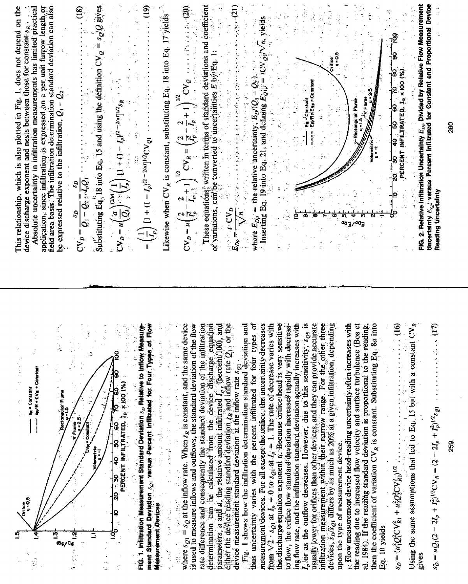

determination can be calculated from the device discharge equation<br>parameters, a and *i*, the relative amount infiltrated  $I_p$ , (percent/100), and<br>either the device reading standard deviation  $s_R$  and inflow rate  $Q_i$ , or influration measurement within their narrow range. For the other three Using the same assumptions that led to Eq. 15 but with a constant  $CV<sub>R</sub>$ where  $s_{Q1} = s_Q$  at the inflow rate. When  $s_R$  is constant, and the same device measurement devices. For all except the orifice, the uncertainty decreases the discharge equation exponent u. Because orifice head is very sensitive  $s$  or as the outflow decreases. However, due to this sensitivity,  $s_{Q1}$  is isually lower for orifices than other devices, and they can provide accurate devices,  $s_p$   $s_q$  differs by as much as  $20\%$  at a given infiltration, depending then the coefficient of variation  $CV<sub>R</sub>$  is constant. Substituting Eq. 8*a* into  $\frac{1}{2}$ ment Standard Devision sor versus Percent Infiltrated for Four Types of Flow s used to measure inflows and outflows, the standard deviation of the flow ate difference and consequently the standard deviation of the infiltration Fig. 1 shows how the infiltration determination standard deviation and thus uncertainty varies with the percent infiltrated for four types of from  $\sqrt{2} \cdot s_{Q_1}$  at  $I_p = 0$  to  $s_{Q_1}$  at  $I_p = 1$ . The rate of decrease varies with ing flow rate, and the infiltration standard deviation actually increases with  $\mathbf{H}$  Filow measurement device head-reading uncertainty often increases with the reading due to increased flow velocity and surface turbulence (Bos et al. 1984). If the reading standard deviation is proportional to the reading, io flow, the orifice flow standard deviation increases rapidly with decreas-Fig. 1. Infituration Measurement Standard Deviation  $s_D$  Relative to Inflow Measure-经生产金 医心室 医单元反射 计可分级变量  $\frac{1}{2}$ device measurement standard deviation at the inflow rate  $s_{Q1}$ . いいよう --- "R/R . CVR . Constant 医子宫 医子宫 PERCENT INFILTRATED, I<sub>P</sub> X 100 (%) s<sub>R</sub> - Constant Rectangular Flume 医腹股沟 医腹股沟 医血管 in<br>S 化对称 植复杂的 upon the type of measurement device.  $\frac{1}{2}$  $s_D = (u_1^2 Q_1^2 CV_{R_1}^2 + u_2^2 Q_2^2 CV_{R_2}^2)^{1/2}$ . ႞႙ |୍ hiika<br>u-05 **MAGES Heasurement Devices** Q はんかいせん Eq. 10 yields 4、 1、 4、 4、 4、

 $\frac{1}{2} \sum_{i=1}^{n} \frac{1}{2} \sum_{j=1}^{n} \frac{1}{2} \sum_{j=1}^{n} \frac{1}{2} \sum_{j=1}^{n} \frac{1}{2} \sum_{j=1}^{n} \frac{1}{2} \sum_{j=1}^{n} \frac{1}{2} \sum_{j=1}^{n} \frac{1}{2} \sum_{j=1}^{n} \frac{1}{2} \sum_{j=1}^{n} \frac{1}{2} \sum_{j=1}^{n} \frac{1}{2} \sum_{j=1}^{n} \frac{1}{2} \sum_{j=1}^{n} \frac{1}{2} \sum_{j=1}^{n$ 

88

rives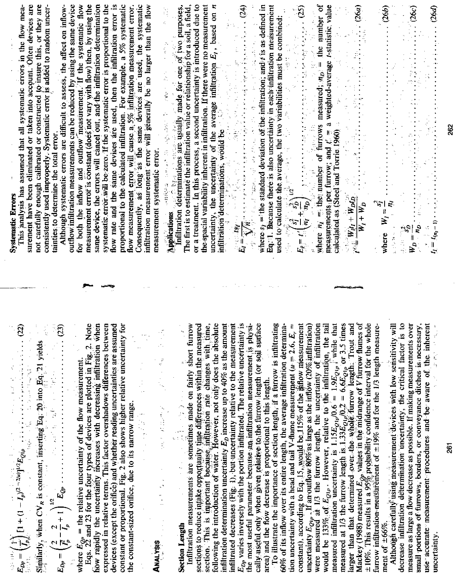| same device, the errors will cancel out, and the infiltration determination<br>flow rate and the same devices are used, then the infiltration error is<br>flow measurement error will cause $a$ , $5%$ infituation measurement error.<br>Consequently, as long as the same devices are used, the systematic<br>surement have been eliminated or taken into account. Often devices are<br>measurement error is constant (does not vary with flow) then, by using the<br>systematic error will be zero. If the systematic error is proportional to the<br>proportional to the calculated infiltration. For example, a 5% systematic<br>not carefully enough calibrated or constructed to insure this, or they are<br>Although systematic errors are difficult to assess, the affect on inflow-<br>outflow infiltration measurements can be reduced by using the same device<br>for both the inflow and outflow measurement. If the systematic flow<br>This analysis has assumed that all systematic errors in the flow mea-<br>consistently used improperly. Systematic error is added to random uncertainties to determine the total error.<br>infiltration measurement error will generally be no larger than the flow<br>measurement systematic error.<br><b>Systematic Errors</b> | or a treatment. In this process, a second uncertainty is introduced due to the spacial variability inherent in infiltration. If there were no measurement<br>Applications and the second of the second of the purposes.<br>The first is to estimate the infiltration value or relationship for a soil, a field,<br>The first is to estimate the infiltration value or relationship for a soil,<br>uncertainty, the uncertainty of the average infiltration $E_t$ , based on $\pi$<br>infiltration determinations, would be $\pi$ . The contraction $E_t$ based on $\pi$<br>$E_t = \frac{E_t}{\sqrt{h_t}}$ , $\cdots$ , $\cdots$ , $\cdots$ , $\cdots$ , $\cdots$ , $\cdots$ , $\cdots$<br>used to calculate the average, the two variabilities matches combined:<br>$E_{\vec{y}} = \left( \left( \frac{s_1^2}{q_1^2} + \frac{s_0^2}{q_0^2} \right) \right)^{1/2}$ . The control of the control of $\frac{s_1^2}{q_1^2} + \frac{s_0^2}{q_0^2} \right)^{1/2}$ . The control of the c                                                                                                                                                                                                                                                                                                                                                                                                                                                                                                                                                                                                                                                                                                                                                                                                                                                                                                                                                                                                                                                                                                                                                                                                                                                                                                                                                                                                                                                             |  |
|-------------------------------------------------------------------------------------------------------------------------------------------------------------------------------------------------------------------------------------------------------------------------------------------------------------------------------------------------------------------------------------------------------------------------------------------------------------------------------------------------------------------------------------------------------------------------------------------------------------------------------------------------------------------------------------------------------------------------------------------------------------------------------------------------------------------------------------------------------------------------------------------------------------------------------------------------------------------------------------------------------------------------------------------------------------------------------------------------------------------------------------------------------------------------------------------------------------------------------------------------------------------------------------|------------------------------------------------------------------------------------------------------------------------------------------------------------------------------------------------------------------------------------------------------------------------------------------------------------------------------------------------------------------------------------------------------------------------------------------------------------------------------------------------------------------------------------------------------------------------------------------------------------------------------------------------------------------------------------------------------------------------------------------------------------------------------------------------------------------------------------------------------------------------------------------------------------------------------------------------------------------------------------------------------------------------------------------------------------------------------------------------------------------------------------------------------------------------------------------------------------------------------------------------------------------------------------------------------------------------------------------------------------------------------------------------------------------------------------------------------------------------------------------------------------------------------------------------------------------------------------------------------------------------------------------------------------------------------------------------------------------------------------------------------------------------------------------------------------------------------------------------------------------------------------------------------------------------------------------------------------------------------------------------------------------------------------------------------------------------------------------------------------------------------------------------------------------------------------------------------------------------------------------------------------------------------------------------------------------------------------------------------------------------------------------------------------------------------------------------|--|
| where $E_{Qp}$ = the relative uncertainty of the flow measurement.<br>Eqs. 22 and 23 for the four types of devices are plotted in Fig. 2. Note<br>how rapidly the uncertainty ficerases with decreasing infiltration when<br>devices (except the orifice) and whether reading uncertainties are assumed constant or proportional. Fig. 2 also shows higher relative uncertainty for the constant-sized orifice, due to its narrow range.<br>expressed in relative terms. This factor overshadows differences between<br>$\begin{aligned} \frac{1}{\sqrt{2}}\left(\frac{1}{\sqrt{2}}\frac{\partial \phi}{\partial \phi}\right) \\ \frac{1}{\sqrt{2}}\left(\frac{1}{\sqrt{2}}\frac{\partial \phi}{\partial \phi}\right) \\ \frac{1}{\sqrt{2}}\left(\frac{1}{\sqrt{2}}\frac{\partial \phi}{\partial \phi}\right) \end{aligned}$                                                                                                                                                                                                                                                                                                                                                                                                                                                        | Although carefully using measurement devices with low sensitivity will<br>Mackey (1988) measured $E_{Qp}$ values in the midrange of V furrew flumes of $\pm 10\%$ . This results in a 95% propability confidence interval for the whole furrow infiltration-measurement of $\pm 19\%$ and for the 1/3 lengt<br>$E_{Op}$ varies inversely with the portion infiltrated. The relative uncertainty is<br>would be 133% of $E_{Q1p}$ . However, relative to the infiltration, the tail measured infiltration uncertainty is $1.15E_{Q1p}/0.6 = 1.9E_{Q1p}$ , while that measured at 1/3 the furrow length is $1.33E_{Q1p}/0.2 = 6.6E_{Q1p}$ or 3.5<br>decrease infiltration determination uncertainty, the critical factor is to<br>measure as large a flow decrease as possible. If making measurements over<br>measure $\frac{1}{2}$ and $\frac{1}{2}$ furrows, borders, or conveyance ditches is necessary, use accurate measurement procedures and be aware of the inherent incorrections.<br>sections to reduce intake opportunity time differences within the measured<br>section. This is important because, indituation rate changes with time,<br>following the introduction of water. However, not only does the absolute<br>infiltration determination uncertainty $E_D$ increase up to $40\%$ as the amount<br>infiltrated decreases (Fig. 1), but uncertainty relative to the measurement<br>soul surface<br>To illustrate the importance of section length, if a furrow is infiltrating<br>determina-<br>constant), according to Eq. 15, would be 115% of the inflow measurement<br><b>extion Length</b> and a sequence of $\frac{1}{2}$ and $\frac{1}{2}$ and $\frac{1}{2}$ is a sequence on the sequel further in $\frac{1}{2}$ is the sequel further in $\frac{1}{2}$ and $\frac{1}{2}$ is short further in $\frac{1}{2}$ is short further in<br>uncertainty $E_{Qtp}$ . If an outflow 80% as large as the inflow (20% infiltration) were measured at 1/3 the furrow length, the uncertainty of infiltration<br>the most useful parameter because an inflitration measurement is physi-<br>tion uncertainty with a head and tail V-flume measurement ( $u = 2.6$ , $E_r =$<br>活动<br>60% of its inflow over its entire length, the average infiltration<br>cally useful only when given relative to the furrow length (or<br>area) and the flow decrease is proportional to this length.<br>ment of $\pm 66\%$ .<br>Section Length |  |

**261** 

262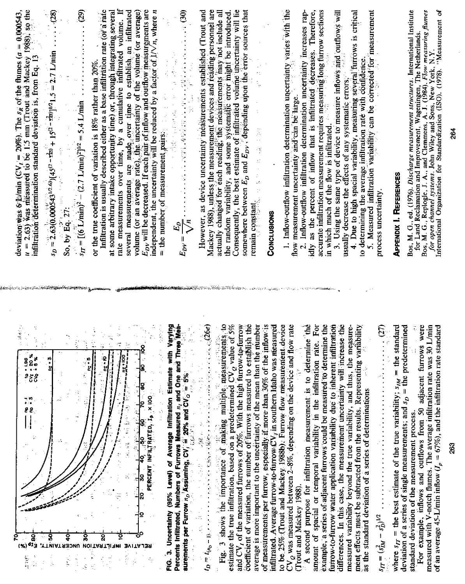| deviation was examined to be 1.5 mm (Trout and Mackey 1988), so the $u = 2.63$ ) was measured to be 1.5 mm (Trout and Mackey 1988), so the<br>$\cdots$ (29)<br>Infiltration is usually described either as a base infiltration rate (or a rate<br>at some arbitrary intake opportunity time) or, through integrating severa<br>rate measurements over time, by a cumulative infiltrated volume. I<br>several measurements are made over time to establish an infiltrated<br>volume (or an average rate), the uncertainty of the volume (or average<br>$E_{DV}$ will be decreased. If each pair of inflow and outflow measurements are<br>independent, the uncertainty will be reduced by a factor of $1/\sqrt{n}$ , where n<br>deviation was 6 Lymin (CV <sub>I</sub> = 20%). The $s_K$ of the flumes $(a = 0.000543$<br>$s_{\text{IT}} = [(6 \text{ L/min})^2 - (2.7 \text{ L/min})^2]^{1/2} = 5.4 \text{ L/min}$<br>infiltrátión determination standard deviation is, from Eq. 13<br>or the true coefficient of variation is 18% rather than 20%.<br>李小夫<br>$\frac{1}{2}$<br>$\frac{1}{2}$<br>So, by Eq. 27: | $(0, 0)$ , the contribution of the contribution of the contribution of the contribution of $\mathbb{R}^n$<br>However, as device uncertainty measurements established (Trout and<br>Mackey 1988), unless the measurement devices and reading personnel are<br>actually changed for each reading, the measurements may not include al<br>the random variability, and some systematic error might be introduced<br>Consequently, the best estimate of infiltrated volume uncertainty will lie<br>somewhere between $E_D$ and $E_{DV}$ , depending upon the error sources that<br>$\frac{1}{\alpha}$<br>医肾上腺 医外皮炎<br>$\frac{1}{2}$<br>$\frac{1}{2}$<br>$=$ the number of measurement pairs.<br>计分子 医布尔德氏综合征神经细胞<br>小豆<br>一般な にゅう (時代)<br>remain constant.<br>CONCLUSIONS<br>$\searrow$<br>$\mathbb{E}^2$<br>$E_{DY} = \frac{1}{\Lambda}$                                                                                                                                                                 | 1. Inflow-outflow infiltration determination uncertainty varies with the measurement uncertainty and can be large $\sim$<br>Inflow-outflow infiltration determination uncertainty increases rap-<br>idly as the percent of inflow that is infiltrated decreases. Therefore<br>And the course infiltration measurement requires measuring long furrow sections<br>4. Due to high spacial variability, measuring several furrows is critical<br>5. Measured infiltration variability can be corrected for ineasurement<br>in which much of the flow is infiltrated.<br>3. Using the same type of device to measure inflows and outflows will<br>to determining the average infiltration rate with confidence.<br>usually decrease the effects of any systematic errors.<br>flow measurement uncertainty and can be large.<br>process uncertainty.<br>$\vec{N}$ | Bos, M. G., ed. (1976). Discharge measurement structures. International Institute<br>Bos, M. G., Replogle, J. A., and Clemmens, A. J. (1984). Flow measuring flumes for open channel systems. John Wiley and Sons, New York, N.Y.<br>for open channel systems. John Wiley and Sons, New York, N.Y.<br>International Organ<br>for Land Reclamation and Improvement, Wageningen, The Netherlands.<br>264<br><b>APPENDIX I. REFERENCES</b>                                                                                                                                                    |
|----------------------------------------------------------------------------------------------------------------------------------------------------------------------------------------------------------------------------------------------------------------------------------------------------------------------------------------------------------------------------------------------------------------------------------------------------------------------------------------------------------------------------------------------------------------------------------------------------------------------------------------------------------------------------------------------------------------------------------------------------------------------------------------------------------------------------------------------------------------------------------------------------------------------------------------------------------------------------------------------------------------------------------------------------------------------------------------------------------------|------------------------------------------------------------------------------------------------------------------------------------------------------------------------------------------------------------------------------------------------------------------------------------------------------------------------------------------------------------------------------------------------------------------------------------------------------------------------------------------------------------------------------------------------------------------------------------------------------------------------------------------------------------------------------------------------------------------------------------------------------------------------------------------------------------------------------------------------------------------------------------------------------------------------------------------------------------------------------------------------------|--------------------------------------------------------------------------------------------------------------------------------------------------------------------------------------------------------------------------------------------------------------------------------------------------------------------------------------------------------------------------------------------------------------------------------------------------------------------------------------------------------------------------------------------------------------------------------------------------------------------------------------------------------------------------------------------------------------------------------------------------------------------------------------------------------------------------------------------------------------|--------------------------------------------------------------------------------------------------------------------------------------------------------------------------------------------------------------------------------------------------------------------------------------------------------------------------------------------------------------------------------------------------------------------------------------------------------------------------------------------------------------------------------------------------------------------------------------------|
| 计算符<br>Þ<br>oor<br>Go<br>៓៓៓៓<br>៓៓៓៓៓៓៓<br>j<br>1<br>.<br>यं *<br>יפו<br>ע<br>÷,<br>부동중<br>PERCENT INFILTRATED, In X 100<br>g g<br>Ş<br>ទូ<br>ន្ល<br>araan,                                                                                                                                                                                                                                                                                                                                                                                                                                                                                                                                                                                                                                                                                                                                                                                                                                                                                                                                                   | Percents Infiltrated, Numbers of Furrows Measured n <sub>i</sub> and One and Three Mea-<br>Fig. 3 shows the importance of making multiple measurements to<br>estimate the true infiltration, based on a predetermined $CV_Q$ value of 5%<br>$\cdots$ (26e)<br>coefficient of variation, the number of furrows measured to establish the<br>average is more important to the uncertainty of the mean than the mumber<br>e with Varying<br>and CV, of the measured furrows of 20%. With the high furrow-to-furrow<br>of measurements per furrow, especially if more than 30% of the inflow is<br>infiltrated. Average furrow to furrow $CV_f$ in southern Idaho was measured<br>Y<br>iet<br>St<br>3. Uncertainty (95% Level) of Average Infiltration Estimate<br>surements per Furrow $n_b$ Assuming, CV, $\stackrel{\leftrightarrow}{=} 20\%$ and CV $_0$ $\stackrel{\leftrightarrow}{=} 5\%$<br>医反应性 医腹膜下皮皮癣的 医牙科<br>$\sim 2G$<br>è<br>ŀ<br>$t_D \equiv t_{(n_D-1),\cdots, n}$<br>à,<br>ģ<br>gi<br>E | amount of spacial or temporal variability in the infiltration rate. For<br>example, a series of adjacent furrows could be measured to determine the<br>to be 25% (Trout and Mackey 1988b). Furrow flow measurement device<br>furrow-to-furrow water application variability due to inherent infiltration<br>and flow rate<br>determine the<br>differences. In this case, the measurement uncertainty will increase the<br>ment effects must be subtracted from the results. Representing variability<br>the measure-<br>CV <sub>Q</sub> was measured between 2-8%, depending on the device<br>measured variability beyond the true variability, and thus,<br>A second purpose for infiltration measurement is to<br>as the standard deviation of a series of determinations<br>(Trout and Mackey 1988).                                                      | the standard<br>furrows were<br>measured with V-notch flumes. The average infiltration rate was 30 L/min<br>$\frac{1}{2} \left( \frac{2\pi}{\pi} \right)$<br>deviation of a series of single measurements; and $s_D$ = the predetermined<br>rate standard<br>of an average 45-L/min inflow $(I_p = 67\%)$ , and the infiltration<br>For example, inflows and outflows from 50 adjacent<br>where $s_{ff}$ = the best estimate of the true variability; $s_{fM}$<br>--------------------------<br>standard deviation of the measurement process.<br>g<br>$s_{IT} = (s_{IM}^2 - s_D^2)^{1/2}$ |

 $\bar{z}$ 

ite.

264

Ŷ,